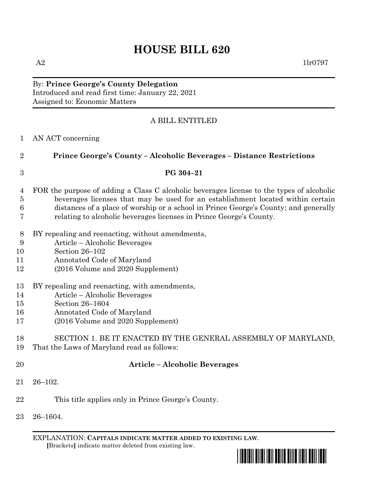# **HOUSE BILL 620**

By: **Prince George's County Delegation** Introduced and read first time: January 22, 2021 Assigned to: Economic Matters

# A BILL ENTITLED

### AN ACT concerning

 **Prince George's County – Alcoholic Beverages – Distance Restrictions PG 304–21** FOR the purpose of adding a Class C alcoholic beverages license to the types of alcoholic beverages licenses that may be used for an establishment located within certain distances of a place of worship or a school in Prince George's County; and generally relating to alcoholic beverages licenses in Prince George's County.

- BY repealing and reenacting, without amendments,
- Article Alcoholic Beverages
- Section 26–102
- Annotated Code of Maryland
- (2016 Volume and 2020 Supplement)
- BY repealing and reenacting, with amendments,
- Article Alcoholic Beverages
- Section 26–1604
- Annotated Code of Maryland
- (2016 Volume and 2020 Supplement)

SECTION 1. BE IT ENACTED BY THE GENERAL ASSEMBLY OF MARYLAND,

- That the Laws of Maryland read as follows:
- 

# **Article – Alcoholic Beverages**

- 26–102.
- This title applies only in Prince George's County.
- 26–1604.

EXPLANATION: **CAPITALS INDICATE MATTER ADDED TO EXISTING LAW**.  **[**Brackets**]** indicate matter deleted from existing law.

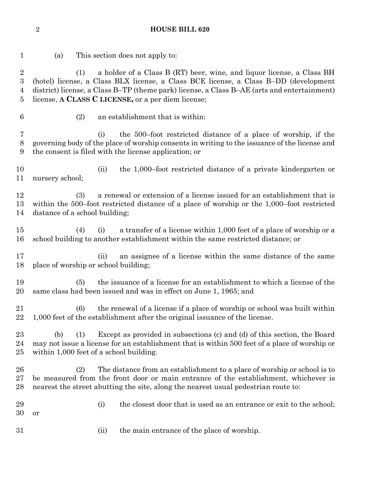**HOUSE BILL 620**

 (a) This section does not apply to: (1) a holder of a Class B (RT) beer, wine, and liquor license, a Class BH (hotel) license, a Class BLX license, a Class BCE license, a Class B–DD (development district) license, a Class B–TP (theme park) license, a Class B–AE (arts and entertainment) license, **A CLASS C LICENSE,** or a per diem license; (2) an establishment that is within: (i) the 500–foot restricted distance of a place of worship, if the governing body of the place of worship consents in writing to the issuance of the license and the consent is filed with the license application; or (ii) the 1,000–foot restricted distance of a private kindergarten or nursery school; (3) a renewal or extension of a license issued for an establishment that is within the 500–foot restricted distance of a place of worship or the 1,000–foot restricted distance of a school building; (4) (i) a transfer of a license within 1,000 feet of a place of worship or a school building to another establishment within the same restricted distance; or (ii) an assignee of a license within the same distance of the same place of worship or school building; (5) the issuance of a license for an establishment to which a license of the same class had been issued and was in effect on June 1, 1965; and (6) the renewal of a license if a place of worship or school was built within 1,000 feet of the establishment after the original issuance of the license. (b) (1) Except as provided in subsections (c) and (d) of this section, the Board may not issue a license for an establishment that is within 500 feet of a place of worship or within 1,000 feet of a school building. (2) The distance from an establishment to a place of worship or school is to be measured from the front door or main entrance of the establishment, whichever is nearest the street abutting the site, along the nearest usual pedestrian route to: 29 (i) the closest door that is used as an entrance or exit to the school; or (ii) the main entrance of the place of worship.